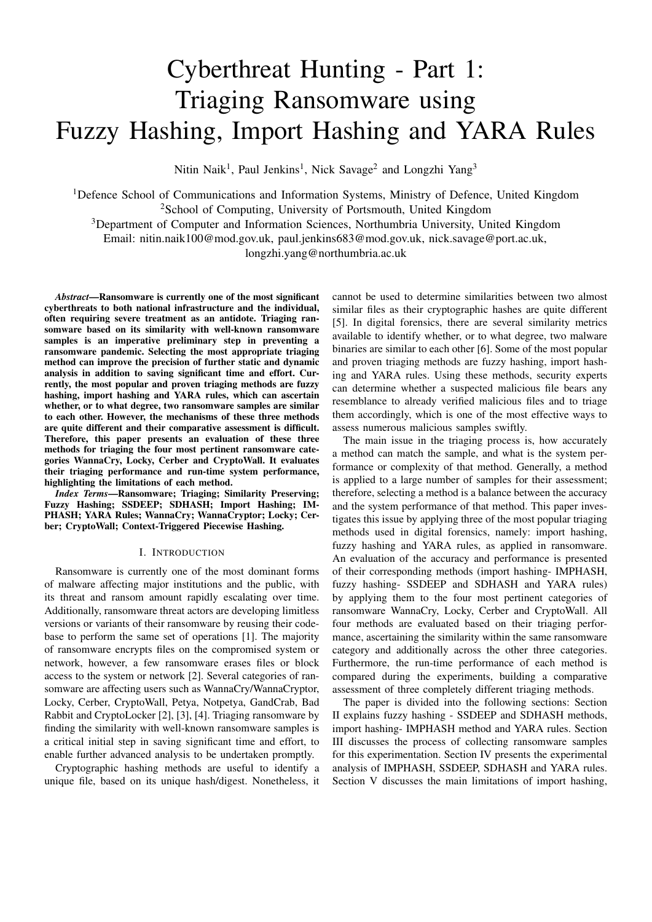# Cyberthreat Hunting - Part 1: Triaging Ransomware using Fuzzy Hashing, Import Hashing and YARA Rules

Nitin Naik<sup>1</sup>, Paul Jenkins<sup>1</sup>, Nick Savage<sup>2</sup> and Longzhi Yang<sup>3</sup>

<sup>1</sup>Defence School of Communications and Information Systems, Ministry of Defence, United Kingdom <sup>2</sup>School of Computing, University of Portsmouth, United Kingdom

<sup>3</sup>Department of Computer and Information Sciences, Northumbria University, United Kingdom

Email: nitin.naik100@mod.gov.uk, paul.jenkins683@mod.gov.uk, nick.savage@port.ac.uk,

longzhi.yang@northumbria.ac.uk

*Abstract*—Ransomware is currently one of the most significant cyberthreats to both national infrastructure and the individual, often requiring severe treatment as an antidote. Triaging ransomware based on its similarity with well-known ransomware samples is an imperative preliminary step in preventing a ransomware pandemic. Selecting the most appropriate triaging method can improve the precision of further static and dynamic analysis in addition to saving significant time and effort. Currently, the most popular and proven triaging methods are fuzzy hashing, import hashing and YARA rules, which can ascertain whether, or to what degree, two ransomware samples are similar to each other. However, the mechanisms of these three methods are quite different and their comparative assessment is difficult. Therefore, this paper presents an evaluation of these three methods for triaging the four most pertinent ransomware categories WannaCry, Locky, Cerber and CryptoWall. It evaluates their triaging performance and run-time system performance, highlighting the limitations of each method.

*Index Terms*—Ransomware; Triaging; Similarity Preserving; Fuzzy Hashing; SSDEEP; SDHASH; Import Hashing; IM-PHASH; YARA Rules; WannaCry; WannaCryptor; Locky; Cerber; CryptoWall; Context-Triggered Piecewise Hashing.

#### I. INTRODUCTION

Ransomware is currently one of the most dominant forms of malware affecting major institutions and the public, with its threat and ransom amount rapidly escalating over time. Additionally, ransomware threat actors are developing limitless versions or variants of their ransomware by reusing their codebase to perform the same set of operations [1]. The majority of ransomware encrypts files on the compromised system or network, however, a few ransomware erases files or block access to the system or network [2]. Several categories of ransomware are affecting users such as WannaCry/WannaCryptor, Locky, Cerber, CryptoWall, Petya, Notpetya, GandCrab, Bad Rabbit and CryptoLocker [2], [3], [4]. Triaging ransomware by finding the similarity with well-known ransomware samples is a critical initial step in saving significant time and effort, to enable further advanced analysis to be undertaken promptly.

Cryptographic hashing methods are useful to identify a unique file, based on its unique hash/digest. Nonetheless, it

cannot be used to determine similarities between two almost similar files as their cryptographic hashes are quite different [5]. In digital forensics, there are several similarity metrics available to identify whether, or to what degree, two malware binaries are similar to each other [6]. Some of the most popular and proven triaging methods are fuzzy hashing, import hashing and YARA rules. Using these methods, security experts can determine whether a suspected malicious file bears any resemblance to already verified malicious files and to triage them accordingly, which is one of the most effective ways to assess numerous malicious samples swiftly.

The main issue in the triaging process is, how accurately a method can match the sample, and what is the system performance or complexity of that method. Generally, a method is applied to a large number of samples for their assessment; therefore, selecting a method is a balance between the accuracy and the system performance of that method. This paper investigates this issue by applying three of the most popular triaging methods used in digital forensics, namely: import hashing, fuzzy hashing and YARA rules, as applied in ransomware. An evaluation of the accuracy and performance is presented of their corresponding methods (import hashing- IMPHASH, fuzzy hashing- SSDEEP and SDHASH and YARA rules) by applying them to the four most pertinent categories of ransomware WannaCry, Locky, Cerber and CryptoWall. All four methods are evaluated based on their triaging performance, ascertaining the similarity within the same ransomware category and additionally across the other three categories. Furthermore, the run-time performance of each method is compared during the experiments, building a comparative assessment of three completely different triaging methods.

The paper is divided into the following sections: Section II explains fuzzy hashing - SSDEEP and SDHASH methods, import hashing- IMPHASH method and YARA rules. Section III discusses the process of collecting ransomware samples for this experimentation. Section IV presents the experimental analysis of IMPHASH, SSDEEP, SDHASH and YARA rules. Section V discusses the main limitations of import hashing,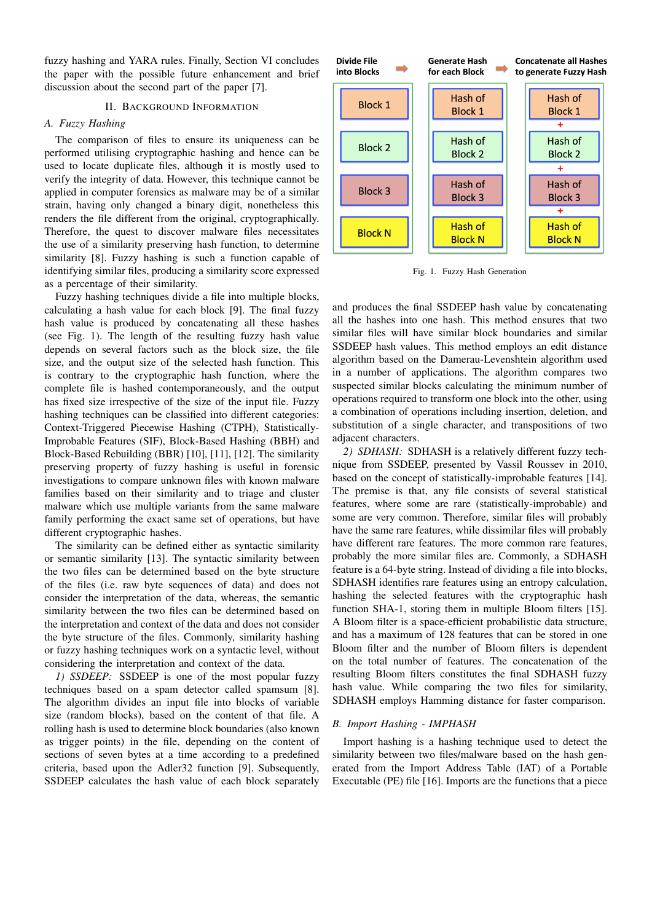fuzzy hashing and YARA rules. Finally, Section VI concludes the paper with the possible future enhancement and brief discussion about the second part of the paper [7].

## II. BACKGROUND INFORMATION

## *A. Fuzzy Hashing*

The comparison of files to ensure its uniqueness can be performed utilising cryptographic hashing and hence can be used to locate duplicate files, although it is mostly used to verify the integrity of data. However, this technique cannot be applied in computer forensics as malware may be of a similar strain, having only changed a binary digit, nonetheless this renders the file different from the original, cryptographically. Therefore, the quest to discover malware files necessitates the use of a similarity preserving hash function, to determine similarity [8]. Fuzzy hashing is such a function capable of identifying similar files, producing a similarity score expressed as a percentage of their similarity.

Fuzzy hashing techniques divide a file into multiple blocks, calculating a hash value for each block [9]. The final fuzzy hash value is produced by concatenating all these hashes (see Fig. 1). The length of the resulting fuzzy hash value depends on several factors such as the block size, the file size, and the output size of the selected hash function. This is contrary to the cryptographic hash function, where the complete file is hashed contemporaneously, and the output has fixed size irrespective of the size of the input file. Fuzzy hashing techniques can be classified into different categories: Context-Triggered Piecewise Hashing (CTPH), Statistically-Improbable Features (SIF), Block-Based Hashing (BBH) and Block-Based Rebuilding (BBR) [10], [11], [12]. The similarity preserving property of fuzzy hashing is useful in forensic investigations to compare unknown files with known malware families based on their similarity and to triage and cluster malware which use multiple variants from the same malware family performing the exact same set of operations, but have different cryptographic hashes.

The similarity can be defined either as syntactic similarity or semantic similarity [13]. The syntactic similarity between the two files can be determined based on the byte structure of the files (i.e. raw byte sequences of data) and does not consider the interpretation of the data, whereas, the semantic similarity between the two files can be determined based on the interpretation and context of the data and does not consider the byte structure of the files. Commonly, similarity hashing or fuzzy hashing techniques work on a syntactic level, without considering the interpretation and context of the data.

*1) SSDEEP:* SSDEEP is one of the most popular fuzzy techniques based on a spam detector called spamsum [8]. The algorithm divides an input file into blocks of variable size (random blocks), based on the content of that file. A rolling hash is used to determine block boundaries (also known as trigger points) in the file, depending on the content of sections of seven bytes at a time according to a predefined criteria, based upon the Adler32 function [9]. Subsequently, SSDEEP calculates the hash value of each block separately



Fig. 1. Fuzzy Hash Generation

and produces the final SSDEEP hash value by concatenating all the hashes into one hash. This method ensures that two similar files will have similar block boundaries and similar SSDEEP hash values. This method employs an edit distance algorithm based on the Damerau-Levenshtein algorithm used in a number of applications. The algorithm compares two suspected similar blocks calculating the minimum number of operations required to transform one block into the other, using a combination of operations including insertion, deletion, and substitution of a single character, and transpositions of two adjacent characters.

*2) SDHASH:* SDHASH is a relatively different fuzzy technique from SSDEEP, presented by Vassil Roussev in 2010, based on the concept of statistically-improbable features [14]. The premise is that, any file consists of several statistical features, where some are rare (statistically-improbable) and some are very common. Therefore, similar files will probably have the same rare features, while dissimilar files will probably have different rare features. The more common rare features, probably the more similar files are. Commonly, a SDHASH feature is a 64-byte string. Instead of dividing a file into blocks, SDHASH identifies rare features using an entropy calculation, hashing the selected features with the cryptographic hash function SHA-1, storing them in multiple Bloom filters [15]. A Bloom filter is a space-efficient probabilistic data structure, and has a maximum of 128 features that can be stored in one Bloom filter and the number of Bloom filters is dependent on the total number of features. The concatenation of the resulting Bloom filters constitutes the final SDHASH fuzzy hash value. While comparing the two files for similarity, SDHASH employs Hamming distance for faster comparison.

## *B. Import Hashing - IMPHASH*

Import hashing is a hashing technique used to detect the similarity between two files/malware based on the hash generated from the Import Address Table (IAT) of a Portable Executable (PE) file [16]. Imports are the functions that a piece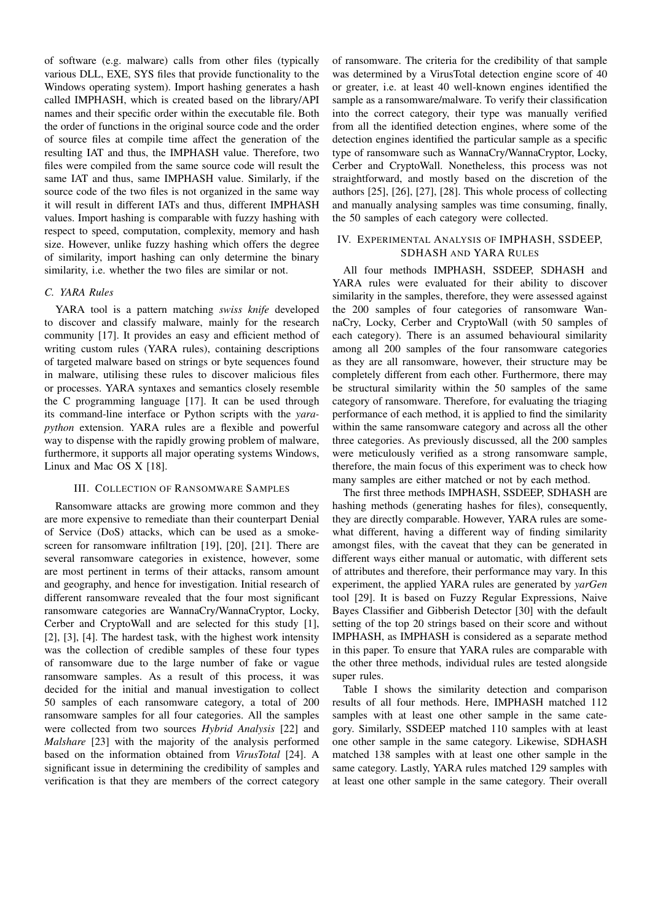of software (e.g. malware) calls from other files (typically various DLL, EXE, SYS files that provide functionality to the Windows operating system). Import hashing generates a hash called IMPHASH, which is created based on the library/API names and their specific order within the executable file. Both the order of functions in the original source code and the order of source files at compile time affect the generation of the resulting IAT and thus, the IMPHASH value. Therefore, two files were compiled from the same source code will result the same IAT and thus, same IMPHASH value. Similarly, if the source code of the two files is not organized in the same way it will result in different IATs and thus, different IMPHASH values. Import hashing is comparable with fuzzy hashing with respect to speed, computation, complexity, memory and hash size. However, unlike fuzzy hashing which offers the degree of similarity, import hashing can only determine the binary similarity, i.e. whether the two files are similar or not.

## *C. YARA Rules*

YARA tool is a pattern matching *swiss knife* developed to discover and classify malware, mainly for the research community [17]. It provides an easy and efficient method of writing custom rules (YARA rules), containing descriptions of targeted malware based on strings or byte sequences found in malware, utilising these rules to discover malicious files or processes. YARA syntaxes and semantics closely resemble the C programming language [17]. It can be used through its command-line interface or Python scripts with the *yarapython* extension. YARA rules are a flexible and powerful way to dispense with the rapidly growing problem of malware, furthermore, it supports all major operating systems Windows, Linux and Mac OS X [18].

## III. COLLECTION OF RANSOMWARE SAMPLES

Ransomware attacks are growing more common and they are more expensive to remediate than their counterpart Denial of Service (DoS) attacks, which can be used as a smokescreen for ransomware infiltration [19], [20], [21]. There are several ransomware categories in existence, however, some are most pertinent in terms of their attacks, ransom amount and geography, and hence for investigation. Initial research of different ransomware revealed that the four most significant ransomware categories are WannaCry/WannaCryptor, Locky, Cerber and CryptoWall and are selected for this study [1], [2], [3], [4]. The hardest task, with the highest work intensity was the collection of credible samples of these four types of ransomware due to the large number of fake or vague ransomware samples. As a result of this process, it was decided for the initial and manual investigation to collect 50 samples of each ransomware category, a total of 200 ransomware samples for all four categories. All the samples were collected from two sources *Hybrid Analysis* [22] and *Malshare* [23] with the majority of the analysis performed based on the information obtained from *VirusTotal* [24]. A significant issue in determining the credibility of samples and verification is that they are members of the correct category

of ransomware. The criteria for the credibility of that sample was determined by a VirusTotal detection engine score of 40 or greater, i.e. at least 40 well-known engines identified the sample as a ransomware/malware. To verify their classification into the correct category, their type was manually verified from all the identified detection engines, where some of the detection engines identified the particular sample as a specific type of ransomware such as WannaCry/WannaCryptor, Locky, Cerber and CryptoWall. Nonetheless, this process was not straightforward, and mostly based on the discretion of the authors [25], [26], [27], [28]. This whole process of collecting and manually analysing samples was time consuming, finally, the 50 samples of each category were collected.

## IV. EXPERIMENTAL ANALYSIS OF IMPHASH, SSDEEP, SDHASH AND YARA RULES

All four methods IMPHASH, SSDEEP, SDHASH and YARA rules were evaluated for their ability to discover similarity in the samples, therefore, they were assessed against the 200 samples of four categories of ransomware WannaCry, Locky, Cerber and CryptoWall (with 50 samples of each category). There is an assumed behavioural similarity among all 200 samples of the four ransomware categories as they are all ransomware, however, their structure may be completely different from each other. Furthermore, there may be structural similarity within the 50 samples of the same category of ransomware. Therefore, for evaluating the triaging performance of each method, it is applied to find the similarity within the same ransomware category and across all the other three categories. As previously discussed, all the 200 samples were meticulously verified as a strong ransomware sample, therefore, the main focus of this experiment was to check how many samples are either matched or not by each method.

The first three methods IMPHASH, SSDEEP, SDHASH are hashing methods (generating hashes for files), consequently, they are directly comparable. However, YARA rules are somewhat different, having a different way of finding similarity amongst files, with the caveat that they can be generated in different ways either manual or automatic, with different sets of attributes and therefore, their performance may vary. In this experiment, the applied YARA rules are generated by *yarGen* tool [29]. It is based on Fuzzy Regular Expressions, Naive Bayes Classifier and Gibberish Detector [30] with the default setting of the top 20 strings based on their score and without IMPHASH, as IMPHASH is considered as a separate method in this paper. To ensure that YARA rules are comparable with the other three methods, individual rules are tested alongside super rules.

Table I shows the similarity detection and comparison results of all four methods. Here, IMPHASH matched 112 samples with at least one other sample in the same category. Similarly, SSDEEP matched 110 samples with at least one other sample in the same category. Likewise, SDHASH matched 138 samples with at least one other sample in the same category. Lastly, YARA rules matched 129 samples with at least one other sample in the same category. Their overall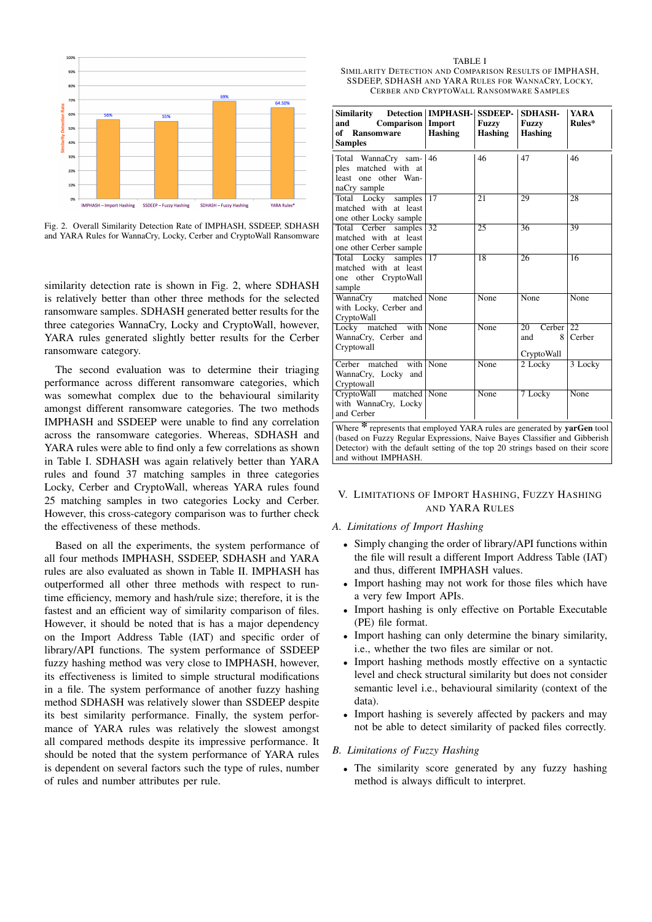

Fig. 2. Overall Similarity Detection Rate of IMPHASH, SSDEEP, SDHASH and YARA Rules for WannaCry, Locky, Cerber and CryptoWall Ransomware

similarity detection rate is shown in Fig. 2, where SDHASH is relatively better than other three methods for the selected ransomware samples. SDHASH generated better results for the three categories WannaCry, Locky and CryptoWall, however, YARA rules generated slightly better results for the Cerber ransomware category.

The second evaluation was to determine their triaging performance across different ransomware categories, which was somewhat complex due to the behavioural similarity amongst different ransomware categories. The two methods IMPHASH and SSDEEP were unable to find any correlation across the ransomware categories. Whereas, SDHASH and YARA rules were able to find only a few correlations as shown in Table I. SDHASH was again relatively better than YARA rules and found 37 matching samples in three categories Locky, Cerber and CryptoWall, whereas YARA rules found 25 matching samples in two categories Locky and Cerber. However, this cross-category comparison was to further check the effectiveness of these methods.

Based on all the experiments, the system performance of all four methods IMPHASH, SSDEEP, SDHASH and YARA rules are also evaluated as shown in Table II. IMPHASH has outperformed all other three methods with respect to runtime efficiency, memory and hash/rule size; therefore, it is the fastest and an efficient way of similarity comparison of files. However, it should be noted that is has a major dependency on the Import Address Table (IAT) and specific order of library/API functions. The system performance of SSDEEP fuzzy hashing method was very close to IMPHASH, however, its effectiveness is limited to simple structural modifications in a file. The system performance of another fuzzy hashing method SDHASH was relatively slower than SSDEEP despite its best similarity performance. Finally, the system performance of YARA rules was relatively the slowest amongst all compared methods despite its impressive performance. It should be noted that the system performance of YARA rules is dependent on several factors such the type of rules, number of rules and number attributes per rule.

#### TABLE I SIMILARITY DETECTION AND COMPARISON RESULTS OF IMPHASH, SSDEEP, SDHASH AND YARA RULES FOR WANNACRY, LOCKY, CERBER AND CRYPTOWALL RANSOMWARE SAMPLES

| Similarity<br><b>Comparison</b><br>and<br>of Ransomware<br><b>Samples</b>                                                                                                                                                                                      | <b>Detection   IMPHASH-1</b><br><b>Import</b><br><b>Hashing</b> | <b>SSDEEP-</b><br><b>Fuzzy</b><br><b>Hashing</b> | <b>SDHASH-</b><br><b>Fuzzy</b><br><b>Hashing</b>                    | YARA<br>Rules*  |  |  |
|----------------------------------------------------------------------------------------------------------------------------------------------------------------------------------------------------------------------------------------------------------------|-----------------------------------------------------------------|--------------------------------------------------|---------------------------------------------------------------------|-----------------|--|--|
| Total WannaCry sam-146<br>ples matched with at<br>least one other Wan-<br>naCry sample                                                                                                                                                                         |                                                                 | 46                                               | 47                                                                  | 46              |  |  |
| Total Locky<br>samples 17<br>matched with at least<br>one other Locky sample                                                                                                                                                                                   |                                                                 | $\overline{21}$                                  | 29                                                                  | $\overline{28}$ |  |  |
| Total Cerber<br>samples<br>matched with<br>at least<br>one other Cerber sample                                                                                                                                                                                 | 32                                                              | 25                                               | 36                                                                  | 39              |  |  |
| Total Locky<br>samples<br>matched with at least<br>one other CryptoWall<br>sample                                                                                                                                                                              | $\overline{17}$                                                 | 18                                               | 26                                                                  | 16              |  |  |
| WannaCry<br>matched None<br>with Locky, Cerber and<br>CryptoWall                                                                                                                                                                                               |                                                                 | None                                             | None                                                                | None            |  |  |
| Locky matched with None<br>WannaCry, Cerber and<br>Cryptowall                                                                                                                                                                                                  |                                                                 | None                                             | Cerber $22$<br>$\overline{20}$<br>$\mathbf{8}$<br>and<br>CryptoWall | Cerber          |  |  |
| Cerber matched with<br>WannaCry, Locky and<br>Cryptowall                                                                                                                                                                                                       | None                                                            | None                                             | 2 Locky                                                             | 3 Locky         |  |  |
| CryptoWall<br>matched None<br>with WannaCry, Locky<br>and Cerber                                                                                                                                                                                               |                                                                 | None                                             | 7 Locky                                                             | None            |  |  |
| Where * represents that employed YARA rules are generated by yarGen tool<br>(based on Fuzzy Regular Expressions, Naive Bayes Classifier and Gibberish<br>Detector) with the default setting of the top 20 strings based on their score<br>and without IMPHASH. |                                                                 |                                                  |                                                                     |                 |  |  |

## V. LIMITATIONS OF IMPORT HASHING, FUZZY HASHING AND YARA RULES

## *A. Limitations of Import Hashing*

- Simply changing the order of library/API functions within the file will result a different Import Address Table (IAT) and thus, different IMPHASH values.
- Import hashing may not work for those files which have a very few Import APIs.
- Import hashing is only effective on Portable Executable (PE) file format.
- Import hashing can only determine the binary similarity, i.e., whether the two files are similar or not.
- Import hashing methods mostly effective on a syntactic level and check structural similarity but does not consider semantic level i.e., behavioural similarity (context of the data).
- Import hashing is severely affected by packers and may not be able to detect similarity of packed files correctly.

## *B. Limitations of Fuzzy Hashing*

• The similarity score generated by any fuzzy hashing method is always difficult to interpret.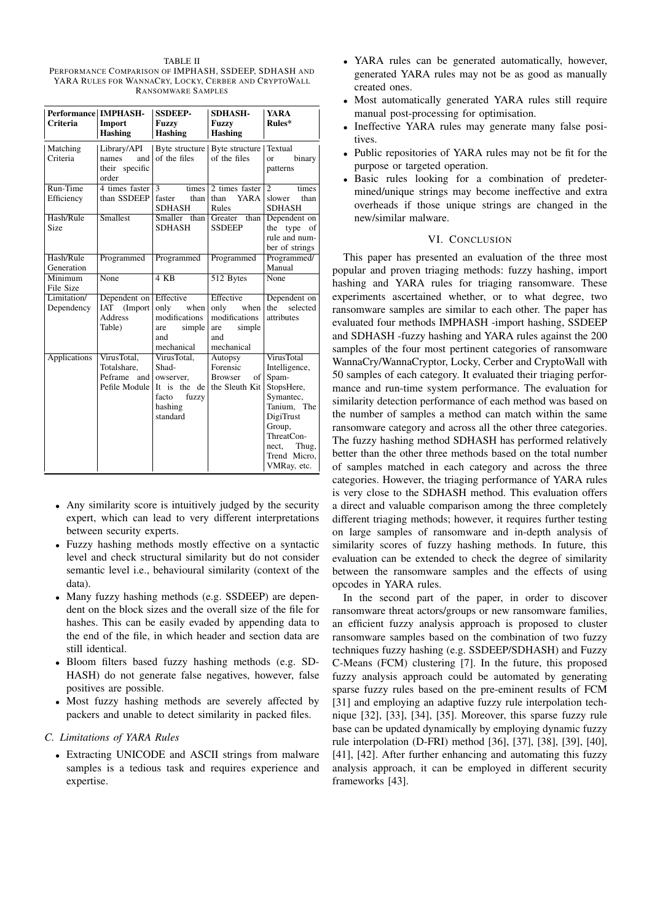TABLE II PERFORMANCE COMPARISON OF IMPHASH, SSDEEP, SDHASH AND YARA RULES FOR WANNACRY, LOCKY, CERBER AND CRYPTOWALL RANSOMWARE SAMPLES

| Performance MPHASH-<br><b>Criteria</b> | Import<br><b>Hashing</b>                                        | <b>SSDEEP-</b><br><b>Fuzzy</b><br><b>Hashing</b>                                           | <b>SDHASH-</b><br><b>Fuzzy</b><br><b>Hashing</b>                                   | <b>YARA</b><br>Rules*                                                                                                                                                       |
|----------------------------------------|-----------------------------------------------------------------|--------------------------------------------------------------------------------------------|------------------------------------------------------------------------------------|-----------------------------------------------------------------------------------------------------------------------------------------------------------------------------|
| Matching<br>Criteria                   | Library/API<br>and  <br>names<br>their specific<br>order        | Byte structure<br>of the files                                                             | Byte structure<br>of the files                                                     | Textual<br>binary<br>or<br>patterns                                                                                                                                         |
| Run-Time<br>Efficiency                 | $4 \times$ fines faster $\boxed{3}$<br>than SSDEEP              | times<br>faster<br>than<br><b>SDHASH</b>                                                   | 2 times faster<br>YARA <sup>I</sup><br>than<br>Rules                               | $\overline{2}$<br>times<br>slower<br>than<br><b>SDHASH</b>                                                                                                                  |
| Hash/Rule<br><b>Size</b>               | <b>Smallest</b>                                                 | Smaller than<br><b>SDHASH</b>                                                              | Greater<br>than<br><b>SSDEEP</b>                                                   | Dependent on<br>the<br>type<br>of<br>rule and num-<br>ber of strings                                                                                                        |
| Hash/Rule<br>Generation                | Programmed                                                      | Programmed                                                                                 | Programmed                                                                         | Programmed/<br>Manual                                                                                                                                                       |
| Minimum<br>File Size                   | None                                                            | $4$ KB                                                                                     | 512 Bytes                                                                          | None                                                                                                                                                                        |
| Limitation/<br>Dependency              | Dependent on $ $<br>(Import<br>IAT<br>Address<br>Table)         | Effective<br>only<br>when  <br>modifications<br>simple<br>are<br>and<br>mechanical         | Effective<br>only<br>when  <br>modifications<br>simple<br>are<br>and<br>mechanical | Dependent on<br>the<br>selected<br>attributes                                                                                                                               |
| Applications                           | VirusTotal,<br>Totalshare.<br>Peframe<br>and  <br>Pefile Module | VirusTotal,<br>Shad-<br>owserver,<br>It is the de<br>fuzzy<br>facto<br>hashing<br>standard | Autopsy<br>Forensic<br><b>Browser</b><br>$\vert$ of $\vert$<br>the Sleuth Kit      | <b>VirusTotal</b><br>Intelligence,<br>Spam-<br>StopsHere,<br>Symantec,<br>Tanium, The<br>DigiTrust<br>Group,<br>ThreatCon-<br>Thug,<br>nect,<br>Trend Micro,<br>VMRay, etc. |

- Any similarity score is intuitively judged by the security expert, which can lead to very different interpretations between security experts.
- Fuzzy hashing methods mostly effective on a syntactic level and check structural similarity but do not consider semantic level i.e., behavioural similarity (context of the data).
- Many fuzzy hashing methods (e.g. SSDEEP) are dependent on the block sizes and the overall size of the file for hashes. This can be easily evaded by appending data to the end of the file, in which header and section data are still identical.
- Bloom filters based fuzzy hashing methods (e.g. SD-HASH) do not generate false negatives, however, false positives are possible.
- Most fuzzy hashing methods are severely affected by packers and unable to detect similarity in packed files.

## *C. Limitations of YARA Rules*

• Extracting UNICODE and ASCII strings from malware samples is a tedious task and requires experience and expertise.

- YARA rules can be generated automatically, however, generated YARA rules may not be as good as manually created ones.
- Most automatically generated YARA rules still require manual post-processing for optimisation.
- Ineffective YARA rules may generate many false positives.
- Public repositories of YARA rules may not be fit for the purpose or targeted operation.
- Basic rules looking for a combination of predetermined/unique strings may become ineffective and extra overheads if those unique strings are changed in the new/similar malware.

# VI. CONCLUSION

This paper has presented an evaluation of the three most popular and proven triaging methods: fuzzy hashing, import hashing and YARA rules for triaging ransomware. These experiments ascertained whether, or to what degree, two ransomware samples are similar to each other. The paper has evaluated four methods IMPHASH -import hashing, SSDEEP and SDHASH -fuzzy hashing and YARA rules against the 200 samples of the four most pertinent categories of ransomware WannaCry/WannaCryptor, Locky, Cerber and CryptoWall with 50 samples of each category. It evaluated their triaging performance and run-time system performance. The evaluation for similarity detection performance of each method was based on the number of samples a method can match within the same ransomware category and across all the other three categories. The fuzzy hashing method SDHASH has performed relatively better than the other three methods based on the total number of samples matched in each category and across the three categories. However, the triaging performance of YARA rules is very close to the SDHASH method. This evaluation offers a direct and valuable comparison among the three completely different triaging methods; however, it requires further testing on large samples of ransomware and in-depth analysis of similarity scores of fuzzy hashing methods. In future, this evaluation can be extended to check the degree of similarity between the ransomware samples and the effects of using opcodes in YARA rules.

In the second part of the paper, in order to discover ransomware threat actors/groups or new ransomware families, an efficient fuzzy analysis approach is proposed to cluster ransomware samples based on the combination of two fuzzy techniques fuzzy hashing (e.g. SSDEEP/SDHASH) and Fuzzy C-Means (FCM) clustering [7]. In the future, this proposed fuzzy analysis approach could be automated by generating sparse fuzzy rules based on the pre-eminent results of FCM [31] and employing an adaptive fuzzy rule interpolation technique [32], [33], [34], [35]. Moreover, this sparse fuzzy rule base can be updated dynamically by employing dynamic fuzzy rule interpolation (D-FRI) method [36], [37], [38], [39], [40], [41], [42]. After further enhancing and automating this fuzzy analysis approach, it can be employed in different security frameworks [43].